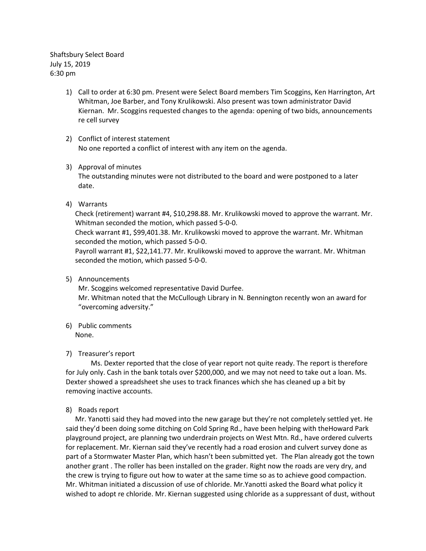Shaftsbury Select Board July 15, 2019 6:30 pm

- 1) Call to order at 6:30 pm. Present were Select Board members Tim Scoggins, Ken Harrington, Art Whitman, Joe Barber, and Tony Krulikowski. Also present was town administrator David Kiernan. Mr. Scoggins requested changes to the agenda: opening of two bids, announcements re cell survey
- 2) Conflict of interest statement No one reported a conflict of interest with any item on the agenda.
- 3) Approval of minutes

The outstanding minutes were not distributed to the board and were postponed to a later date.

4) Warrants

Check (retirement) warrant #4, \$10,298.88. Mr. Krulikowski moved to approve the warrant. Mr. Whitman seconded the motion, which passed 5-0-0.

Check warrant #1, \$99,401.38. Mr. Krulikowski moved to approve the warrant. Mr. Whitman seconded the motion, which passed 5-0-0.

Payroll warrant #1, \$22,141.77. Mr. Krulikowski moved to approve the warrant. Mr. Whitman seconded the motion, which passed 5-0-0.

5) Announcements

Mr. Scoggins welcomed representative David Durfee.

Mr. Whitman noted that the McCullough Library in N. Bennington recently won an award for "overcoming adversity."

6) Public comments None.

# 7) Treasurer's report

Ms. Dexter reported that the close of year report not quite ready. The report is therefore for July only. Cash in the bank totals over \$200,000, and we may not need to take out a loan. Ms. Dexter showed a spreadsheet she uses to track finances which she has cleaned up a bit by removing inactive accounts.

## 8) Roads report

Mr. Yanotti said they had moved into the new garage but they're not completely settled yet. He said they'd been doing some ditching on Cold Spring Rd., have been helping with theHoward Park playground project, are planning two underdrain projects on West Mtn. Rd., have ordered culverts for replacement. Mr. Kiernan said they've recently had a road erosion and culvert survey done as part of a Stormwater Master Plan, which hasn't been submitted yet. The Plan already got the town another grant . The roller has been installed on the grader. Right now the roads are very dry, and the crew is trying to figure out how to water at the same time so as to achieve good compaction. Mr. Whitman initiated a discussion of use of chloride. Mr.Yanotti asked the Board what policy it wished to adopt re chloride. Mr. Kiernan suggested using chloride as a suppressant of dust, without